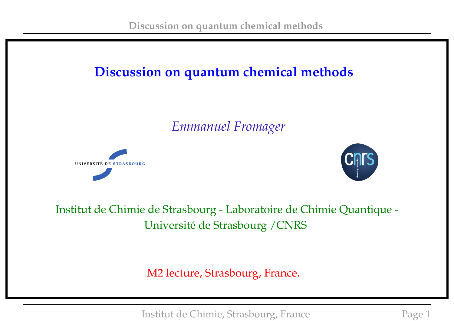## **Discussion on quantum chemical methods**

*Emmanuel Fromager*





Institut de Chimie de Strasbourg - Laboratoire de Chimie Quantique - Université de Strasbourg /CNRS

M2 lecture, Strasbourg, France.

Institut de Chimie, Strasbourg, France Page 1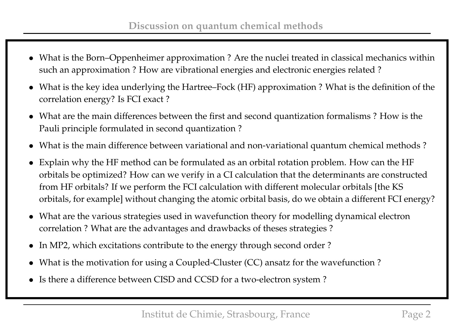- What is the Born–Oppenheimer approximation ? Are the nuclei treated in classical mechanics within such an approximation ? How are vibrational energies and electronic energies related ?
- What is the key idea underlying the Hartree–Fock (HF) approximation ? What is the definition of the correlation energy? Is FCI exact ?
- What are the main differences between the first and second quantization formalisms ? How is the Pauli principle formulated in second quantization ?
- What is the main difference between variational and non-variational quantum chemical methods ?
- Explain why the HF method can be formulated as an orbital rotation problem. How can the HF orbitals be optimized? How can we verify in a CI calculation that the determinants are constructed from HF orbitals? If we perform the FCI calculation with different molecular orbitals [the KS orbitals, for example] without changing the atomic orbital basis, do we obtain a different FCI energy?
- What are the various strategies used in wavefunction theory for modelling dynamical electron correlation ? What are the advantages and drawbacks of theses strategies ?
- In MP2, which excitations contribute to the energy through second order?
- What is the motivation for using a Coupled-Cluster (CC) ansatz for the wavefunction?
- Is there a difference between CISD and CCSD for a two-electron system ?